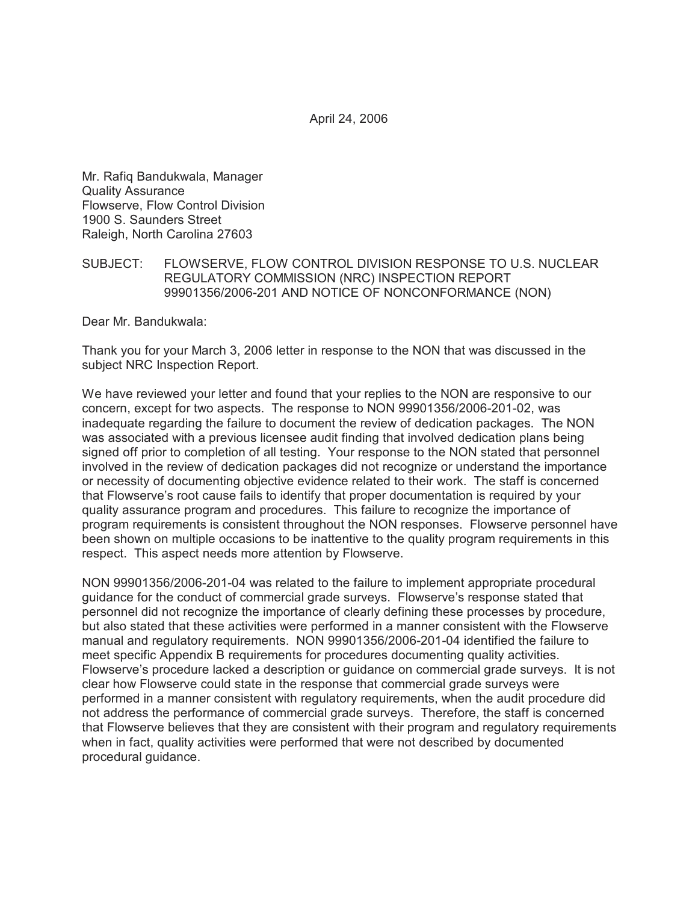April 24, 2006

Mr. Rafiq Bandukwala, Manager Quality Assurance Flowserve, Flow Control Division 1900 S. Saunders Street Raleigh, North Carolina 27603

## SUBJECT: FLOWSERVE, FLOW CONTROL DIVISION RESPONSE TO U.S. NUCLEAR REGULATORY COMMISSION (NRC) INSPECTION REPORT 99901356/2006-201 AND NOTICE OF NONCONFORMANCE (NON)

Dear Mr. Bandukwala:

Thank you for your March 3, 2006 letter in response to the NON that was discussed in the subject NRC Inspection Report.

We have reviewed your letter and found that your replies to the NON are responsive to our concern, except for two aspects. The response to NON 99901356/2006-201-02, was inadequate regarding the failure to document the review of dedication packages. The NON was associated with a previous licensee audit finding that involved dedication plans being signed off prior to completion of all testing. Your response to the NON stated that personnel involved in the review of dedication packages did not recognize or understand the importance or necessity of documenting objective evidence related to their work. The staff is concerned that Flowserve's root cause fails to identify that proper documentation is required by your quality assurance program and procedures. This failure to recognize the importance of program requirements is consistent throughout the NON responses. Flowserve personnel have been shown on multiple occasions to be inattentive to the quality program requirements in this respect. This aspect needs more attention by Flowserve.

NON 99901356/2006-201-04 was related to the failure to implement appropriate procedural guidance for the conduct of commercial grade surveys. Flowserve's response stated that personnel did not recognize the importance of clearly defining these processes by procedure, but also stated that these activities were performed in a manner consistent with the Flowserve manual and regulatory requirements. NON 99901356/2006-201-04 identified the failure to meet specific Appendix B requirements for procedures documenting quality activities. Flowserve's procedure lacked a description or guidance on commercial grade surveys. It is not clear how Flowserve could state in the response that commercial grade surveys were performed in a manner consistent with regulatory requirements, when the audit procedure did not address the performance of commercial grade surveys. Therefore, the staff is concerned that Flowserve believes that they are consistent with their program and regulatory requirements when in fact, quality activities were performed that were not described by documented procedural guidance.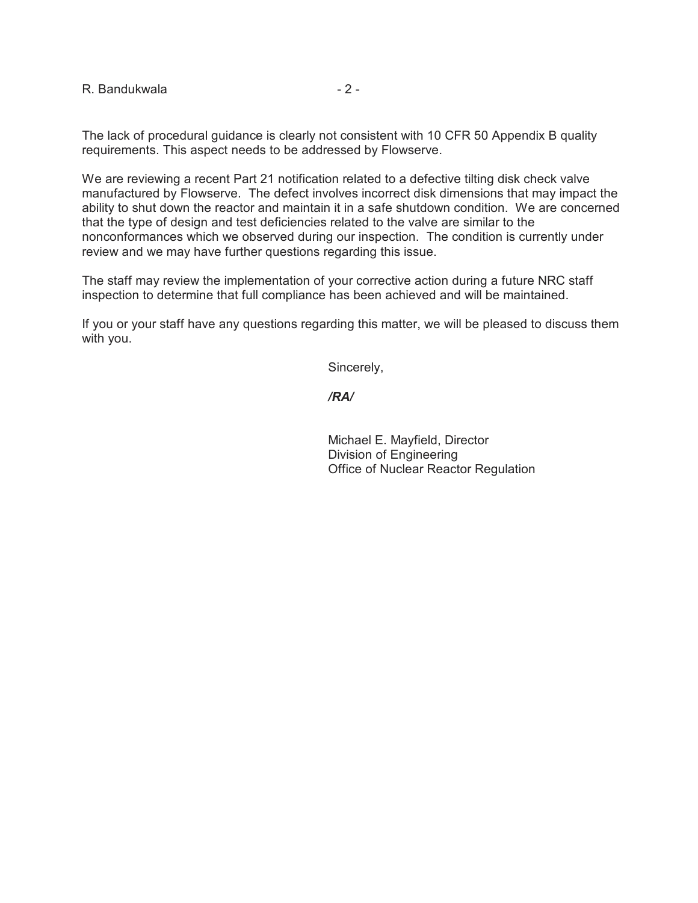R. Bandukwala  $-2$  -

The lack of procedural guidance is clearly not consistent with 10 CFR 50 Appendix B quality requirements. This aspect needs to be addressed by Flowserve.

We are reviewing a recent Part 21 notification related to a defective tilting disk check valve manufactured by Flowserve. The defect involves incorrect disk dimensions that may impact the ability to shut down the reactor and maintain it in a safe shutdown condition. We are concerned that the type of design and test deficiencies related to the valve are similar to the nonconformances which we observed during our inspection. The condition is currently under review and we may have further questions regarding this issue.

The staff may review the implementation of your corrective action during a future NRC staff inspection to determine that full compliance has been achieved and will be maintained.

If you or your staff have any questions regarding this matter, we will be pleased to discuss them with you.

Sincerely,

## */RA/*

Michael E. Mayfield, Director Division of Engineering Office of Nuclear Reactor Regulation